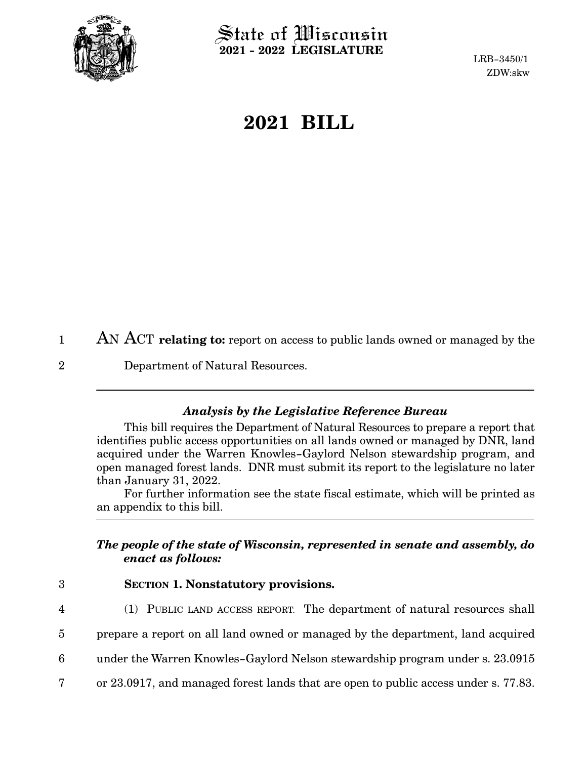

 $\hat{\mathbb{S}}$ tate of Wisconsin **2021 - 2022 LEGISLATURE**

LRB-3450/1 ZDW:skw

## **2021 BILL**

AN ACT **relating to:** report on access to public lands owned or managed by the 1

Department of Natural Resources. 2

## *Analysis by the Legislative Reference Bureau*

This bill requires the Department of Natural Resources to prepare a report that identifies public access opportunities on all lands owned or managed by DNR, land acquired under the Warren Knowles-Gaylord Nelson stewardship program, and open managed forest lands. DNR must submit its report to the legislature no later than January 31, 2022.

For further information see the state fiscal estimate, which will be printed as an appendix to this bill.

## *The people of the state of Wisconsin, represented in senate and assembly, do enact as follows:*

- 3
- **SECTION 1. Nonstatutory provisions.**
- 4
- (1) PUBLIC LAND ACCESS REPORT. The department of natural resources shall
- prepare a report on all land owned or managed by the department, land acquired 5
- under the Warren Knowles-Gaylord Nelson stewardship program under s. 23.0915 6
- or 23.0917, and managed forest lands that are open to public access under s. 77.83. 7